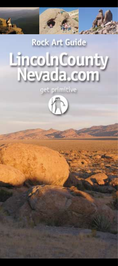# **Rock Art Guide** LincolnCounty Nevada.com

get primitive

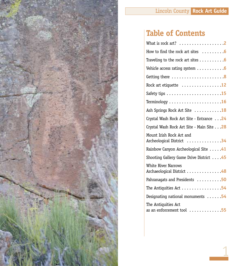

# **Table of Contents**

| What is rock art? $\dots \dots \dots \dots \dots$ .2                     |
|--------------------------------------------------------------------------|
| How to find the rock art sites $\dots \dots 6$                           |
| Traveling to the rock art sites $\dots \dots \dots 6$                    |
| Vehicle access rating system $\dots \dots \dots$                         |
| Getting there 8                                                          |
| Rock art etiquette $\dots\dots\dots\dots\dots$ 12                        |
|                                                                          |
| Terminology $\dots\dots\dots\dots\dots\dots\dots\,16$                    |
| Ash Springs Rock Art Site  18                                            |
| Crystal Wash Rock Art Site - Entrance 24                                 |
| Crystal Wash Rock Art Site - Main Site 28                                |
| Mount Irish Rock Art and<br>Archeological District 34                    |
| Rainbow Canyon Archeological Site 41                                     |
| Shooting Gallery Game Drive District 45                                  |
| <b>White River Narrows</b><br>Archaeological District 48                 |
| Pahranagats and Presidents  50                                           |
| The Antiquities Act 54                                                   |
| Designating national monuments $\ldots$ . 54                             |
| The Antiquities Act<br>as an enforcement tool $\dots\dots\dots\dots$ .55 |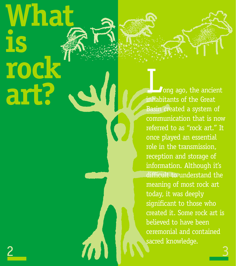# **What is rock art?**

**Jong ago, the ancient** inhabitants of the Great Basin created a system of communication that is now referred to as "rock art." It once played an essential role in the transmission, reception and storage of information. Although it's difficult to understand the meaning of most rock art today, it was deeply significant to those who created it. Some rock art is believed to have been ceremonial and contained sacred knowledge.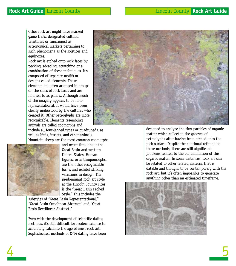Other rock art might have marked game trails, designated cultural territories or functioned as astronomical markers pertaining to such phenomena as the solstices and equinoxes.

Rock art is etched onto rock faces by pecking, abrading, scratching or a combination of these techniques. It's composed of separate motifs or designs called elements. These elements are often arranged in groups on the sides of rock faces and are referred to as panels. Although much of the imagery appears to be nonrepresentational, it would have been clearly understood by the cultures who created it. Other petroglyphs are more recognizable. Elements resembling animals are called zoomorphs and



include all four-legged types or quadrupeds, as well as birds, insects, and other animals. Mountain sheep are the most common zoomorphs



and occur throughout the Great Basin and western United States. Human figures, or anthropomorphs, are the other recognizable forms and exhibit striking variations in design. The predominant rock art style at the Lincoln County sites is the "Great Basin Pecked Style." This includes the

substyles of "Great Basin Representational," "Great Basin Curvilinear Abstract" and "Great Basin Rectilinear Abstract."

Even with the development of scientific dating methods, it's still difficult for modern science to accurately calculate the age of most rock art. Sophisticated methods of C-14 dating have been designed to analyze the tiny particles of organic matter which collect in the grooves of petroglyphs after having been etched onto the rock surface. Despite the continual refining of these methods, there are still significant problems related to the contamination of this organic matter. In some instances, rock art can be related to other related material that is datable and thought to be contemporary with the rock art, but it's often impossible to generate anything other than an estimated timeframe.

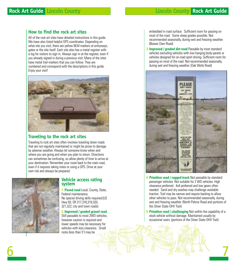# **How to find the rock art sites**

All of the rock art sites have detailed instructions in this guide. We have also listed helpful GPS coordinates. Depending on what site you visit, there are yellow BLM markers at entryways, gates or the site itself. Each site also has a metal register with a log for visitors to sign in. Always sign in at the register, even if you already signed in during a previous visit. Many of the sites have metal trail markers that you can follow. They are numbered and correspond with the descriptions in this guide. Eniov your visit!



# **Traveling to the rock art sites**

Traveling to rock art sites often involves traveling down roads that are not regularly maintained or might be prone to damage by adverse weather. Always let someone know when and where you are going and when you plan to return. Directions can sometimes be confusing, so allow plenty of time to arrive at your destination. Remember your route back to the main road, even if it requires taking notes or using a GPS. Drive at your own risk and always be prepared.



6

## **Vehicle access rating system**

**1. Paved road** Local, County, State, Federal maintenance. No special driving skills required.(US Hwy 93; SR 317,318,319,320, 321,322; city and town roads)

## **2. Improved / graded gravel road**

Still passable to most 2WD vehicles, however caution is required and lower speeds may be necessary for vehicles with less clearance. Small rocks (less than 5") may be

embedded in road surface. Sufficient room for passing on most of the road. Some steep grades possible. Not recommended seasonally, during wet and freezing weather. (Beaver Dam Road)

**3. Improved / graded dirt road** Passable by most standard vehicles excluding vehicles with low hanging body panels or vehicles designed for on-road sport driving. Sufficient room for passing on most of the road. Not recommended seasonally, during wet and freezing weather. (Oak Wells Road)



**4. Primitive road / rugged track** Not passable by standard passenger vehicles. Not suitable for 2 WD vehicles. High clearance preferred. 4x4 preferred and low gears often needed. Sand and dry washes may challenge available traction. Trail may be narrow and require backing to allow other vehicles to pass. Not recommended seasonally, during wet and freezing weather. (North Pahroc Road and portions of the Silver State OHV Trail)

**5. Primitive road / challenging** Not within the capability of a stock vehicle without damage. Maintained usually by occasional users. (portions of the Silver State OHV Trail)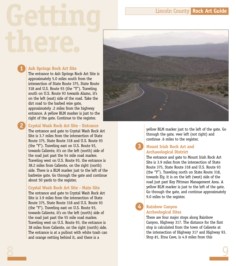# **Ash Springs Rock Art Site**

**1**

**2**

The entrance to Ash Springs Rock Art Site is approximately 5.0 miles south from the intersection of State Route 375, State Route 318 and U.S. Route 93 (the "Y"). Traveling south on U.S. Route 93 towards Alamo, it's on the left (east) side of the road. Take the dirt road to the barbed wire gate, approximately .2 miles from the highway entrance. A yellow BLM marker is just to the right of the gate. Continue to the register.

**Crystal Wash Rock Art Site - Entrance**

The entrance and gate to Crystal Wash Rock Art Site is 3.7 miles from the intersection of State Route 375, State Route 318 and U.S. Route 93 (the "Y"). Traveling east on U.S. Route 93, towards Caliente, it's on the left (north) side of the road just past the 54 mile road marker. Traveling west on U.S. Route 93, the entrance is 38.2 miles from Caliente, on the right (north) side. There is a BLM marker just to the left of the barbwire gate. Go through the gate and continue about 50 yards to the register.

# **Crystal Wash Rock Art Site - Main Site**

The entrance and gate to Crystal Wash Rock Art Site is 3.9 miles from the intersection of State Route 375, State Route 318 and U.S. Route 93 (the "Y"). Traveling east on U.S. Route 93, towards Caliente, it's on the left (north) side of the road just past the 55 mile road marker. Traveling west on U.S. Route 93, the entrance is 38 miles from Caliente, on the right (north) side. The entrance is at a pullout with white trash can and orange netting behind it, and there is a



yellow BLM marker just to the left of the gate. Go through the gate, veer left (not right) and continue .6 miles to the register.

# **Mount Irish Rock Art and Archaeological District**

**3**

**4**

The entrance and gate to Mount Irish Rock Art Site is 3.9 miles from the intersection of State Route 375, State Route 318 and U.S. Route 93 (the "Y"). Traveling north on State Route 318, towards Ely, it is on the left (west) side of the road just past Key Pittman Management Area. A yellow BLM marker is just to the left of the gate. Go through the gate, and continue approximately 9.0 miles to the register.

# **Rainbow Canyon Archeological Sites**

There are four major stops along Rainbow Canyon, Highway 317. The distance for the first stop is calculated from the town of Caliente at the intersection of Highway 317 and Highway 93. Stop #1, Etna Cave, is 4.9 miles from this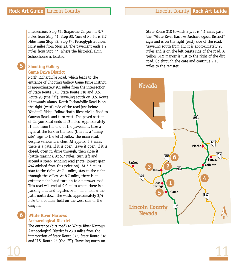intersection. Stop #2, Grapevine Canyon, is 9.7 miles from Stop #1. Stop #3, Tunnel No 5., is 2.7 Miles from Stop #2. Stop #4, Petroglyph Boulder, is1.9 miles from Stop #3. The pavement ends 1.9 miles from Stop #4, where the historical Elgin Schoolhouse is located.

# **Shooting Gallery Game Drive District**

**5**

North Richardville Road, which leads to the entrance of Shooting Gallery Game Drive District, is approximately 9.1 miles from the intersection of State Route 375, State Route 318 and U.S. Route 93 (the "Y"). Traveling south on U.S. Route 93 towards Alamo, North Richardville Road is on the right (west) side of the road just before Windmill Ridge. Follow North Richardville Road to Canyon Road, and turn west. The paved section of Canyon Road ends at .3 miles. Approximately .1 mile from the end of the pavement, take a right at the fork in the road (there is a "dump site" sign to the left.) Follow the main road, despite various branches. At approx. 5.3 miles there is a gate. If it is open, leave it open; if it is closed, open it, drive through, then close it (cattle grazing). At 5.7 miles, turn left and ascend a steep, winding road (note: lowest gear, 4x4 advised from this point on). At 6.6 miles, stay to the right. At 7.1 miles, stay to the right through the valley. At 8.7 miles, there is an extreme right-hand turn on to a narrower road. This road will end at 9.0 miles where there is a parking area and register. From here, follow the path north down the wash, approximately 3/4 mile to a boulder field on the west side of the canyon.

# **White River Narrows Archaeological District**

The entrance (dirt road) to White River Narrows Archaeological District is 23.0 miles from the intersection of State Route 375, State Route 318 and U.S. Route 93 (the "Y"). Traveling north on

State Route 318 towards Ely, it is 4.1 miles past the "White River Narrows Archaeological District" sign and is on the right (east) side of the road. Traveling south from Ely, it is approximately 90 miles and is on the left (east) side of the road. A yellow BLM marker is just to the right of the dirt road. Go through the gate and continue 2.15 miles to the register.



10 11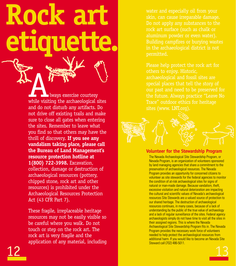**etiquette.** ALWAYS EXECUTE CONTROLLEDGE WHEN THE VISITED WAS EXECTED FOR THE VISITED WHILE VISITED TO A VEHICLE SITES OF THE AREA CONTROLLEDGE ON THE VISITED OF THE VISITED OF THE VISITED OF THE VISITED OF THE VISITED OF THE VISITED O and do not disturb any artifacts. Do not drive off existing trails and make sure to close all gates when entering the sites. Remember to leave what you find so that others may have the thrill of discovery. **If you see any vandalism taking place, please call the Bureau of Land Management's resource protection hotline at 1(800) 722-3998.** Excavation, collection, damage or destruction of archaeological resources (pottery, chipped stone, rock art and other resources) is prohibited under the Archaeological Resources Protection Act (43 CFR Part 7).

**Rock art**

These fragile, irreplaceable heritage resources may not be easily visible so be careful where you walk. Do not touch or step on the rock art. The rock art is very fragile and the application of any material, including water and especially oil from your skin, can cause irreparable damage. Do not apply any substances to the rock art surface (such as chalk or aluminum powder or even water). Building campfires or burying wastes in the archaeological district is not permitted.

Please help protect the rock art for others to enjoy. Historic, archaeological and fossil sites are special places that tell the story of our past and need to be preserved for the future. Always practice "Leave No Trace" outdoor ethics for heritage sites (www. LNT.org).



# **Volunteer for the Stewardship Program**

The Nevada Archaeological Site Stewardship Program, or Nevada Program, is an organization of volunteers sponsored by land managing agencies that share a commitment to the preservation of archaeological resources. The Nevada Program provides an opportunity for concerned citizens to volunteer as site stewards for the federal agencies to monitor the condition of at-risk archaeological sites for signs of natural or man-made damage. Because vandalism, theft, excessive visitation and natural deterioration are impacting the cultural and scientific values of Nevada's archaeological resources Site Stewards are a valued source of protection to our shared heritage. The destruction of archaeological resources continues, in many cases, because of a lack of understanding by the public of the true value of archaeology and a lack of regular surveillance of the sites. Federal agency archaeologists simply do not have time to visit all the sites in their assigned regions. This is where the Nevada Archaeological Site Stewardship Program fits in. The Nevada Program provides the necessary work force of volunteers needed to help protect the archaeological resources from additional harm. If you would like to become an Nevada Site Steward call (702) 486-5011.

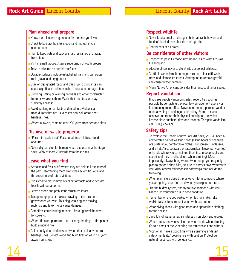# **Plan ahead and prepare**

- Know the rules and regulations for the area you'll visit.
- $\blacksquare$  Check to be sure the site is open and find out if you need a permit.
- Plan to keep pets and pack animals restrained and away from sites.
- Visit in small groups. Assure supervision of youth groups
- Travel and camp on durable surfaces
- Durable surfaces include established trails and campsites, rock, gravel and dry grasses.
- Stay on designated roads and trails. Soil disturbance can cause significant and irreversible impacts to heritage sites.
- Climbing, sitting or walking on walls and other constructed features weakens them. Walls that are stressed may suddenly collapse.
- Avoid walking on artifacts and middens. Middens are trash dumps that are usually soft dark soil areas near heritage sites.
- Where allowed, camp at least 200 yards from heritage sites.

# **Dispose of waste properly**

- "Pack it in, pack it out" Pack out all trash, leftover food, and litter.
- Never dig catholes for human waste disposal near heritage sites. Walk at least 200 yards from these sites.

# **Leave what you find**

- Artifacts and fossils left where they are help tell the story of the past. Rearranging them limits their scientific value and the experience of future visitors.
- It is illegal to dig, remove or collect artifacts and vertebrate fossils without a permit.
- Leave historic and prehistoric structures intact.
- Take photographs or make a drawing of the rock art or gravestones you visit. Touching, chalking and making rubbings and latex molds cause damage.
- Campfires cause lasting impacts. Use a lightweight stove for cooking.
- Where fires are permitted, use existing fire rings, a fire pan or build a mound fire.
- Collect only dead and downed wood that is clearly not from heritage sites. Collect wood and build fires at least 200 yards away from sites.

# **Respect wildlife**

- Never feed animals. It changes their natural behaviors and food left behind may alter the heritage site.
- Control pets at all times.

# **Be considerate of other visitors**

- Respect the past. Heritage sites hold clues to what life was like long ago.
- Educate others never to dig at sites or collect artifacts.
- Graffiti is vandalism. It damages rock art, ruins, cliff walls, trees and historic structures. Attempting to remove graffiti can cause further damage.
- Many Native Americans consider their ancestral lands sacred.

# **Report vandalism**

If you see people vandalizing sites, report it as soon as possible by contacting the local law enforcement agency or land management office. Never confront or approach vandals or do anything to endanger your safety. From a distance, observe and report their physical description, activities, license plate numbers, time and location. To report vandalism, call 1(800) 722-3998.

# **Safety tips**

To explore the Lincoln County Rock Art Sites, you will need a comfortable pair of walking shoes (hiking boots or sneakers are preferable), comfortable clothes, sunscreen, sunglasses, and a hat. Also, be aware of rattlesnakes. Never put your feet or hands where you cannot see them (ie., in deep nooks and crannies of rocks and boulders while climbing). Most importantly, always bring water. Even though you may only plan to go for a short hike, be sure to always have water with you. Also, always follow desert safety tips that include the following:

- $\blacksquare$  When planning a desert trip, always inform someone where you are going, your route and when you expect to return.
- Use the buddy system, and try to take someone with you. Make sure your vehicle is in good condition.
- Remember where you parked when taking a hike. Take walkie-talkies for communication with each other.
- Wear hiking shoes with good tread and appropriate clothing for the season.
- Carry lots of water, a hat, sunglasses, sun block and gloves.
- Watch out where you walk or put your hands when climbing. Certain times of the year bring out rattlesnakes and critters.
- Most of all, have a good time while assuming a "desert" safety mentality." Love nature with caution. Protect our natural resources with vengeance.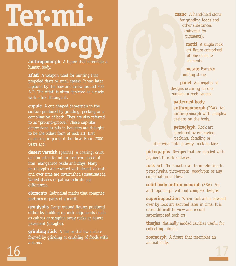# **Ter.mi. nol.o.gy**

**anthropomorph** A figure that resembles a human body.

**atlatl** A weapon used for hunting that propeled darts or small spears. It was later replaced by the bow and arrow around 500 A.D. The Atlatl is often depicted as a circle with a line through it.

**cupule** A cup shaped depression in the surface produced by grinding, pecking or a combination of both. They are also referred to as "pit-and-groove." These cup-like depressions or pits in boulders are thought to be the oldest form of rock art, first appearing in parts of the Great Basin 7000 years ago.

**desert varnish** (patina) A coating, crust or film often found on rock composed of iron, manganese oxide and clays. Many petroglyphs are covered with desert varnish and over time are revarnished (repatinated). Varied shades of patina indicate age differences.

**elements** Individual marks that comprise portions or parts of a motif.

**geoglyphs** Large ground figures produced either by building up rock alignments (such as cairns) or scraping away rocks or desert pavement (intaglio).

**grinding slick** A flat or shallow surface formed by grinding or crushing of foods with a stone.

**mano** A hand-held stone for grinding foods and other substances (minerals for pigments).

> **motif** A single rock art figure comprised of one or more elements.

**metate** Portable milling stone.

**panel** Aggregates of designs occuring on one surface or rock canvas.

**patterned body anthropomorph** (PBA) An anthropomorph with complex designs on the body.

**petroglyph** Rock art produced by engraving, pecking, abrading or otherwise "taking away" rock surface.

**pictographs** Designs that are applied with pigment to rock surfaces.

**rock art** The broad cover term referring to petroglyphs, pictographs, geoglyphs or any combination of these.

**solid body anthropomorph** (SBA) An anthropomorph without complex designs.

**superimposition** When rock art is covered over by rock art excuted later in time. It is often difficult to view and record superimposed rock art.

**tinajas** Naturally eroded cavities useful for collecting rainfall.

**zoomorph** A figure that resembles an animal body.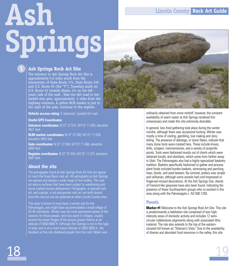# **Ash Springs**

# **Ash Springs Rock Art Site**

The entrance to Ash Springs Rock Art Site is approximately 5.0 miles south from the intersection of State Route 375, State Route 318 and U.S. Route 93 (the "Y"). Traveling south on U.S. Route 93 towards Alamo, it's on the left (east) side of the road . Take the dirt road to the barbed wire gate, approximately .2 miles from the highway entrance. A yellow BLM marker is just to the right of the gate. Continue to the register.

**Vehicle access rating:** 3. Improved / graded dirt road

**Useful GPS Coordinates**

**Entrance coordinates:** N 37˚ 27.572, W115˚ 11.620, elevation 3621 feet

**BLM marker coordinates:** N 37˚ 27.530, W115˚ 11.528, elevation 3642 feet

**Gate coordinates:** N 37˚ 27.494, W115˚ 11.466, elevation 3655 feet

**Register coordinates:** N 37˚ 27.453, W115˚ 11.373, elevation 3691 feet

# **About the site**

The petroglyphs found at Ash Springs Rock Art Site are typical of much the Great Basin rock art. All petroglyphs at Ash Springs are pecked and display a wide range of line widths. This rock art adorns surfaces that have been subject to weathering and some marked human defacement. Pictographs, or painted rock art, and cupules, or pit-and-groove rock art, are both absent from this site but can be observed at other Lincoln County sites.

This area is known to have been a winter site for the Pahranagats, and might have accommodated a small village of 25-40 individuals. Winter was the most permanent phase of the seasons for these people, and was spent in villages, usually around the lower fringes of the pinyon-juniper forests at an altitude of 5000-8000 ft. Although Ash Springs is not in this type of area, and is at a much lower altitude of 3600-3800 ft., the boulders at this site sheltered people from the cold. Water was



ordinarily obtained from snow meltoff, however, the constant availability of warm water at Ash Springs rendered this unnecessary and made this site extremely desirable.

In general, less food gathering took place during the winter months, although there was occasional hunting. Winter was mostly a time of visiting, gambling, tool making and story telling. The presence of debitage, or stone flakes, indicate that many stone tools were created here. These include knives, drills, scrapers, hammerstones, and a variety of projectile points. Tools were fashioned mostly out of cherts which were obtained locally, and obsidians, which came from farther away in Utah. The Pahranagats also had a highly specialized basketry tradition. Baskets specifically fashioned to gather and process plant foods included burden baskets, winnowing and parching trays, bowls, and seed beaters. By contrast, pottery was simple and utilitarian, although some vessels had cord-impressed or fingernail-incised decorations. At the Ash Springs Site, sherds of Fremont-like greyware have also been found, indicating the presence of these Southwestern groups who co-existed in this area along with the Pahranagats c. AD 500-1250.

# **Panels**

**Marker #1** Welcome to the Ash Springs Rock Art Site. This site is predominantly a habitation site comprised of two highintensity areas of domestic activity and includes 12 semicircular cobblestone alignments along with associated lithic material. The site also extends to the top of the easternsituated hill known as "Shaman's Vista." Due to the availability of diverse and abundant food resources in the valley, this site

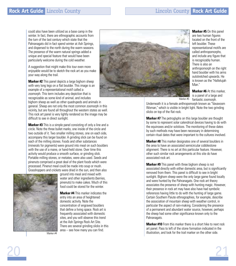could also have been utilized as a base camp in the winter. In fact, there are ethnographic accounts from the turn of the last century which state that the Pahranagats did in fact spend winter at Ash Springs, and dispersed to the north during the warm seasons. The presence of the warm natural springs added a unique and special feature that would have been particularly welcome during the cold weather.

A suggestion that might make this tour even more enjoyable would be to sketch the rock art as you make your way along the trail.

**Marker #2** This panel depicts a large bighorn sheep with very long legs on a flat boulder. This image is an example of a representational motif called a zoomorph. This term includes any depiction that is recognizable as some kind of animal, and includes

bighorn sheep as well as other quadrupeds and animals in general. Sheep are not only the most common zoomorph in this vicinity, but are found all throughout the western states as well. This rock art panel is very lightly rendered so the image may be difficult to see in direct sunlight.

**Marker #3** This is a simple panel consisting of only a line and a circle. Note the three bullet marks, one inside of the circle and two outside of it. Two smaller milling stones, one on each side, accompany this larger boulder. A grinding slick can be found on each of the milling stones. Foods and other substances (minerals for pigments) were ground into meal on such boulders with the use of a mane, or hand-held stone. Over time this activity would produce a smooth surface, or grinding slick. Portable milling stones, or metates, were also used. Seeds and pinenuts comprised a great deal of the plant foods which were processed. Pinenut meal could be made into soup or mush. Grasshoppers and crickets were dried in the sun, and then also



ground into meal and mixed with water and other ingredients (berries, pinenuts) to make cakes. Much of this food could be stored for the winter.

**Marker #4** This marker indicates the entry into an area of heightened domestic activity. Note the concentration of engraved boulders that define a living space. Rock art is frequently associated with domestic sites, and you will observe this trend at the Ash Springs Rock Art Site. There are several grinding slicks in this area – see how many you can find.

Marker #4



located on the front of the left boulder. These representational motifs are called anthropomorphs, and include any figure that is recognizably human. There is also an anthropomorph on the right hand boulder with his arms outstretched upwards. He is known as the "Hallelujah Man."

**Marker #5** On this panel are two human figures

**Marker #6** At this marker, is a panel of a large and fantastic zoomorph. Marker #5

Underneath it is a female anthropomorph known as "Vavavoom Woman," which is visible in bright light. Note the two grinding slicks on top of the flat rock.

**Marker #7** The petroglyphs on this large boulder are thought by some to represent solar calendrical devices having to do with the equinoxes and/or solstices. The monitoring of these dates by such methods may have been necessary in determining certain ritual dates that were important to the cultures involved.

**Marker #8** This marker designates one of several boulders in the area to have an associated semicircular cobblestone alignment. There is no art at this particular feature. However, other such similar rock arrangements at this site do have associated rock art.

**Marker #9** This panel with three bighorn sheep is not associated directly with either domestic area, but is significantly removed from them. This panel is difficult to see in bright sunlight. Bighorn sheep were the only large game found locally and were hunted by the Pahranagats. One rock art theory associates the presence of sheep with hunting magic. However, their presence in rock art may have also have had symbolic references having little to do with the hunting of large game. Certain Southern Paiute ethnographies, for example, describe the association of mountain sheep with weather control, in particular the aspect of rain-making. Considering the presence of a permanent and abundant water source, however, perhaps the sheep had some other significance known only to the Pahranagats.

**Marker #10** From this marker there is a short hike to next rock art panel. Pass to left of the stone formation indicated in the illustration, and look for the trail marker on the other side.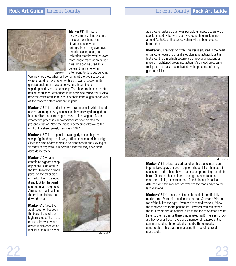

**Marker #11** This panel

displays an excellent example of superimposition. This situation occurs when petroglyphs are engraved over already existing ones, an indication that the worked-over motifs were made at an earlier time. This can be used as a general timeframe when Marker #11 attempting to date petroglyphs.

We may not know when or how far apart the two sequences were created, but we do know this site was probably multigenerational. In this case a heavy curvilinear line is superimposed over several sheep. The sheep to the center-left has an atlatl spear embedded in its back (see Marker #15). Also note the associated semi-circular cobblestone alignment as well as the modern defacement on the panel.

**Marker #12** This boulder has two rock art panels which include several zoomorphs. As you can see, they are very damaged and it is possible that some original rock art is now gone. Natural weathering processes and/or vandalism have created the present situation. Note the modern defacement below to the right of the sheep panel, the initials "AR."

**Marker #13** This is a panel of two lightly etched bighorn sheep. Again, this panel is very difficult to see in bright sunlight. Since the time of day seems to be significant in the viewing of so many petroglyphs, it is possible that this may have been done deliberately.

## **Marker #14** A panel

containing bighorn sheep depictions is situated to the left. To locate a small panel on the other side of the boulder, go around it and look for the panel situated near the ground. Afterwards, backtrack to the trail and follow it out down the road.

**Marker #15** Note the atlatl spear embedded in the back of one of the bighorn sheep. The atlatl, or spearthrower, was a device which enabled an individual to hurl a spear

22



Marker #14

at a greater distance than was possible unaided. Spears were supplemented by bows and arrows as hunting implements around AD 500, so this petroglyph may have been created before then.

**Marker #16** The location of this marker is situated in the heart of the other locus of concentrated domestic activity. Like the first area, there is a high occurrence of rock art indicating a place of heightened group interaction. Much food processing took place here also, as indicated by the presence of many grinding slicks.



Marker #17

23

**Marker #17** The last rock art panel on this tour contains an impressive display of several bighorn sheep. Like others at this site, some of the sheep have atlatl spears protruding from their backs. On top of this boulder to the right can be found a concentric circle, a common motif found globally in rock art. After viewing this rock art, backtrack to the road and go to the last Marker #18.

**Marker #18** This marker indicates the end of the officially marked trail. From this location you can see Shaman's Vista on top of the hill to the right. If you desire to end the tour, follow the road and exit to the parking lot. However, you can extend the tour by making an optional hike to the top of Shaman's Vista (refer to the map since there is no marked trail). There is no rock art, however, although there are a number of features at the summit including three rock alignments. There are also considerable lithic scatters indicating the manufacture of stone tools.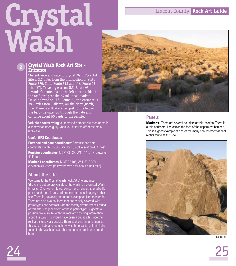# **Crystal Wash**

# **2**

# **Crystal Wash Rock Art Site - Entrance**

The entrance and gate to Crystal Wash Rock Art Site is 3.7 miles from the intersection of State Route 375, State Route 318 and U.S. Route 93 (the "Y"). Traveling east on U.S. Route 93, towards Caliente, it's on the left (north) side of the road just past the 54 mile road marker. Traveling west on U.S. Route 93, the entrance is 38.2 miles from Caliente, on the right (north) side. There is a BLM marker just to the left of the barbwire gate. Go through the gate and continue about 50 yards to the register.

**Vehicle access rating:** 3. Improved / graded dirt road (there is a somewhat steep gully when you first turn off of the main highway)

# **Useful GPS Coordinates**

**Entrance and gate coordinates:** Entrance and gate coordinates: N 37˚ 32.969, W115˚ 10.403, elevation 4077 feet **Register coordinates:** N 37˚ 33.038, W115˚ 10.418, elevation

4049 feet

**Marker 1 coordinates:** N 37˚ 33.185, W 115˚10.309, elevation 4062 feet (follow the wash for about a half mile)

# **About the site**

Welcome to the Crystal Wash Rock Art Site entrance. Stretching out before you along the wash is the Crystal Wash Entrance Site. Generally speaking, the panels are sporadically placed and there is very little representational imagery at this site. There is, however, one notable exception (see marker #4). There are also two boulders that are heavily covered with petroglyphs and contrast with the mostly cryptic images found at this site. The placement of these petroglyphs suggests a possible travel route, with the rock art providing information along the way. This would have been a public site since the rock art is easily accessible. There is also nothing to suggest this was a habitation site, however, the occasional lithic flake found in the wash indicate that some stone tools were made here.



# **Panels**

**Marker #1** There are several boulders at this location. There is a thin horizontal line across the face of the uppermost boulder. This is a good example of one of the many non-representational motifs found at this site.



Marker #1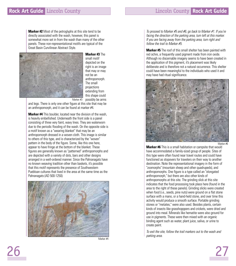**Marker #2** Most of the petroglyphs at this site tend to be directly associated with the wash, however, this panel is somewhat more set in from the wash than many of the other panels. These non-representational motifs are typical of the Great Basin Curvilinear Abstract Style.



**Marker #3** The small motif depicted on the right is an image that may or may not be an anthropomorph. The small projections extending from this shape could possibly be arms

and legs. There is only one other figure at this site that may be an anthropomorph, and it can be found at marker #4.

**Marker #4** This boulder, located near the division of the wash, is heavily embellished. Underneath the front side is a panel consisting of three very faint, wavy lines. They are waterworn due to the periodic flooding of the wash. On the opposite side is a motif known as a "wearing blanket" that may be an anthropomorph dressed in a woven cloth. This image is similar to others of this type, and is characterized by the "woven" pattern in the body of the figure. Some, like this one here, appear to have fringe at the bottom of the blanket. These figures are generally known as "patterned" anthropomorphs and are depicted with a variety of dots, bars and other designs arranged in a well-ordered manner. Since the Pahranagats have no known weaving tradition other than baskets, it's possible that this motif represents the presence of Southwestern Puebloan cultures that lived in the area at the same time as the Pahranagats (AD 500-1250).



Marker #4

To proceed to Marker #5 and #6, go back to Marker #1. If you're facing the direction of the parking area, turn left at this marker. If you are facing away from the parking area, turn right and follow the trail to Marker #5.

**Marker #5** The roof of this small shelter has been painted with red ochre, a frequently used pigment made from iron oxide. Although no discernable imagery seems to have been created in the application of this pigment, it's placement was likely deliberate and is therefore not a natural occurrence. This shelter could have been meaningful to the individuals who used it and may have had ritual significance.



**Marker #6** This is a small habitation or campsite that would have accommodated a family-sized group of people. Sites of this type were often found near travel routes and could have functioned as stopovers for travelers on their way to another destination. Note the representational imagery in the form of "zoomorphs" (mountain sheep and other quadrupeds), and anthropomorphs. One figure is a type called an "elongated anthropomorph," but there are also other kinds of anthropomorphs at this site. The grinding slick at this site indicates that the food processing took place here (found in the area to the right of these panels). Grinding slicks were created when food (i.e., seeds, pine nuts) were ground on a flat stone surface with a mano, or a hand-held stone, and over time this activity would produce a smooth surface. Portable grinding stones or "metates," were also used. Besides plants, certain kinds of insects like grasshopppers and crickets, were dried and ground into meal. Minerals like hematite were also ground for use in pigments. These were then mixed with an organic binding agent such as water, plant juice, saliva, or urine to create paint.

To exit the site, follow the trail markers out to the wash and parking area.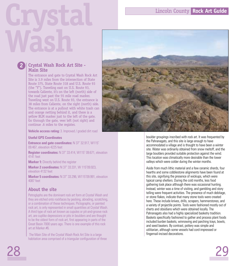# **Crystal Wash**

# **Main Site**

**2**

# **Crystal Wash Rock Art Site -**

The entrance and gate to Crystal Wash Rock Art Site is 3.9 miles from the intersection of State Route 375, State Route 318 and U.S. Route 93 (the "Y"). Traveling east on U.S. Route 93, towards Caliente, it's on the left (north) side of the road just past the 55 mile road marker. Traveling west on U.S. Route 93, the entrance is 38 miles from Caliente, on the right (north) side. The entrance is at a pullout with white trash can and orange netting behind it, and there is a yellow BLM marker just to the left of the gate. Go through the gate, veer left (not right) and continue .6 miles to the register.

**Vehicle access rating:** 3. Improved / graded dirt road

**Useful GPS Coordinates**

**Entrance and gate coordinates:** N 37˚ 32.917, W115˚ 09.467, elevation 4225 feet

**Register coordinates:** N 37˚ 33.414, W115˚ 09.671, elevation 4141 feet

**Marker 1:** Directly behind the register

**Marker 2 coordinates:** N 37˚ 33.331, W 115˚09.923, elevation 4132 feet

**Marker 5 coordinates:** N 37˚ 33.296, W115˚09.991, elevation 4087 feet

# **About the site**

Petroglyphs are the dominant rock art form at Crystal Wash and they are etched onto rockfaces by pecking, abrading, scratching, or a combination of these techniques. Pictographs, or painted rock art, is only represented in small quantities at Crystal Wash. A third type of rock art known as cupules or pit-and-groove rock art, are cuplike depressions or pits in boulders and are thought to be the oldest form of rock art, first appearing in parts of the Great Basin 7000 years ago. There is one example of this rock art at Marker #6.

The Main Site of the Crystal Wash Rock Art Site is a large habitation area comprised of a triangular configuration of three



boulder groupings inscribed with rock art. It was frequented by the Pahranagats, and this site is large enough to have accommodated a village and is thought to have been a winter site. Water was ordinarily obtained from snow meltoff, and the large boulders provided suitable protection against the wind. This location was climatically more desirable than the lower valleys which were colder during the winter months.

Aside from much lithic material and a few ceramic sherds, four hearths and some cobblestone alignments have been found at this site, signifying the presence of wickiups, which were typical camp shelters. During the cold months, less food gathering took place although there was occasional hunting. Instead, winter was a time of visiting, and gambling and story telling were frequent activities. The presence of much debitage, or stone flakes, indicate that many stone tools were created here. These include knives, drills, scrapers, hammerstones, and a variety of projectile points. Tools were fashioned mostly out of cherts and obsidians which were obtained locally. The Pahranagats also had a highly specialized basketry tradition. Baskets specifically fashioned to gather and process plant foods included burden baskets, winnowing and parching trays, bowls, and seed beaters. By contrast, pottery was simple and utilitarian, although some vessels had cord-impressed or fingernail-incised decorations.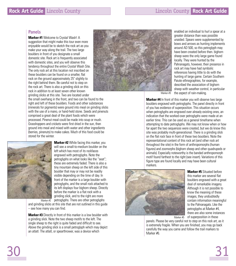# **Panels**

**Marker #1** Welcome to Crystal Wash! A suggestion that might make this tour even more enjoyable would be to sketch the rock art as you make your way along the trail. The two large boulders in front of you designate a small domestic site. Rock art is frequently associated with domestic sites, and you will observe this tendency throughout the entire Crystal Wash Site. The only rock art at this location not inscribed on these boulders can be found on a smaller, flat rock on the ground approximately 25" slightly to the right behind them. Be careful not to step on the rock art. There is also a grinding slick on this rock in addition to at least seven other known grinding slicks at this site. Two are located under



the small overhang in the front, and two can be found to the right and left of these boulders. Foods and other substances (minerals for pigments) were ground into meal on grinding slicks with the use of a mano, or hand-held stone. Seeds and pinenuts comprised a great deal of the plant foods which were processed. Pinenut meal could be made into soup or mush. Grasshoppers and crickets were first dried in the sun, then ground into meal and mixed with water and other ingredients (berries, pinenuts) to make cakes. Much of this food could be stored for the winter.



**Marker #2** While facing this marker, you will see a small-to-medium boulder on the left which has most of its rockfaces engraved with petroglyphs. Note the petroglyphs on what looks like the "seat"; these are extremely faded. There is also a tiny mountain sheep on the left side of this boulder that may or may not be readily visible depending on the time of day. In front of the marker is a large boulder with petroglyphs, and the small rock attached to its left displays four bighorn sheep. Directly before the marker is a flat rock with a grinding slick, and to the right are more petroglyphs. There are other petroglyphs Marker #2

and grinding slicks at this site that are not outlined in this guide – see how many you can find.

**Marker #3** Directly in front of this marker is a low boulder with a grinding slick. Note the two sheep motifs to the left. The single sheep to the right is quite faded and difficult to see. Above the grinding slick is a small petroglyph which may depict an atlatl. The atlatl, or spearthrower, was a device which

enabled an individual to hurl a spear at a greater distance than was possible unaided. Spears were supplemented by bows and arrows as hunting implements around AD 500, so this petroglyph may have been created before then. bighorn sheep were the only large game found locally. They were hunted by the Pahranagats, however, their presence in rock art may have had symbolic references having little to do with the hunting of large game. Certain Southern Paiute ethnographies, for example, described the association of bighorn sheep with weather control, in particular the aspect of rain-making.

Marker #3

**Marker #4** In front of this marker you will observe two large boulders engraved with petroglyphs. The panel directly in front of you has evidence of superposition. This situation occurs when petroglyphs are engraved over already existing ones, an indication that the worked-over petroglyphs were made at an earlier time. This can be used as a general timeframe when attempting to date petroglyphs. We may not know when or how far apart the two sequences were created, but we do know this site was probably multi-generational. There is a grinding slick on the flat rock face in front of these two boulders. Note the representational content of this rock art (and other rock art throughout the site) in the form of anthropomorphs (human figures) and zoomorphs (bighorn sheep and other quadrupeds or animals). Especially noteworthy is the banded anthropomorph motif found farthest to the right (see insert). Variations of this figure type are found locally and may have been cultural markers.



**Marker #5** Situated before this marker are several flat boulders engraved with a great deal of remarkable imagery. Although it is not possible to know the meaning of these images, they undoubtedly contain information meaningful to the Pahranagats. Like the petroglyphs at Marker #4, there are also some instances Marker  $#5$  of superposition in these

panels. Please be very careful not to step on this rock art, as it is extremely fragile. When you are finished, you may go back carefully the way you came and follow the trail markers to Marker #6.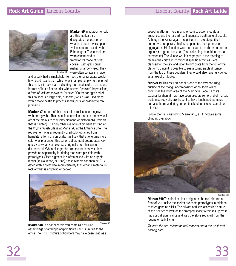

**Marker #6** In addition to rock art, this marker also designates the location of what had been a wickiup, or typical structure used by the Pahranagats. These shelters were constructed of frameworks made of poles covered with grass brush, rushes, or arrow weed. They Marker #6 vere often conical in shape

and usually had a smokehole. For fuel, the Pahranagats would have used local brush, which was in ample supply. To the left of this marker is dark stain indicating the remains of a hearth, and in front of it is a flat boulder with several "pocked" impressions, a form of rock art known as "cupules."On the far right end of this boulder is a large hole, or mortar, which was used along with a stone pestle to process seeds, nuts, or possibly to mix pigments.

**Marker #7** In front of this marker is a rock shelter engraved with petroglyphs. This panel is unusual in that it is the only rock art at the main site to display pigment, or pictographs (rock art that is painted). The only other example of pigment existing at the Crystal Wash Site is at Marker #5 at the Entrance Site. The red pigment was a frequently used color obtained from hematite, a form of iron oxide. It is likely that at one time more color was present on this panel, but pigment deteriorates very quickly so whatever color was originally here has since disappeared. When pictographs are present, however, they provide an opportunity for dating that is not possible with petroglyphs. Since pigment it is often mixed with an organic binder (saliva, blood, or urine), these binders can then be C-14 dated with a great deal more certainty than organic material in rock art that is engraved or pecked.



**Marker #8** The panel before you contains a striking assemblage of anthropomorphic figures and is unique to the entire site. This structure of boulders may have been used as a Marker #8 speech platform. There is ample room to accommodate an audience, and the rock art itself suggests a gathering of people. Although the Pahranagats recognized no absolute political authority, a temporary chief was appointed during times of aggregation. His function was more that of an arbiter and as an organizer of group activities (food-collecting expeditions, certain ceremonies). The village would congregate in the morning to receive the chief's instructions if specific activities were planned for the day, and listen to him orate from the top of the platform. Since it is possible to see a considerable distance from the top of these boulders, they would also have functioned as an excellent lookout.

**Marker #9** This rock art panel is one of the few occurring outside of the triangular composition of boulders which comprises the living area of the Main Site. Because of its exterior location, it may have been used as some kind of marker. Certain petroglyphs are thought to have functioned as maps; perhaps the meandering line on this boulder is one example of this site.

Follow the trail carefully to Marker #10, as it involves some climbing over rocks.



Marker #10

**Marker #10** This final marker designates the rock shelter in front of you. Inside the shelter are some petroglyphs in addition to three grinding slicks. The private and less accessible nature of this shelter as well as the cramped space within it suggest it had special significance and was therefore set apart from the routine of daily living.

To leave the site, follow the trail markers out to the wash and parking area.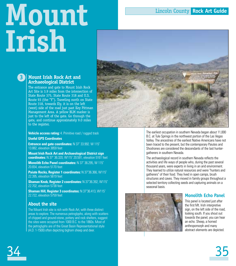# **Mount Irish**



**Mount Irish Rock Art and Archaeological District**

**3**

The entrance and gate to Mount Irish Rock Art Site is 3.9 miles from the intersection of State Route 375, State Route 318 and U.S. Route 93 (the "Y"). Traveling north on State Route 318, towards Ely, it is on the left (west) side of the road just past Key Pittman Management Area. A yellow BLM marker is just to the left of the gate. Go through the gate, and continue approximately 9.0 miles to the register.

**Vehicle access rating:** 4. Primitive road / rugged track

**Useful GPS Coordinates**

**Entrance and gate coordinates:** N 37˚ 33.992. W 115˚ 13.882, elevation 3859 feet

**Mount Irish Rock Art and Archaeological District sign coordinates:** N 37˚ 36.320, W115˚ 20.591, elevation 5161 feet

**Monolith Echo Panel coordinates:** N 37˚ 36.295, W 115˚ 20.654, elevation 5170 feet

**Paiute Rocks, Register 1 coordinates:** N 37˚36.366, W115˚ 22.395, elevation 5619 feet

**Shaman Knob, Register 2 coordinates:** N 37˚36.392, W115˚ 22.702, elevation 5738 feet

**Shaman Hill, Register 3 coordinates:** N 37˚36.413, W115˚ 22.722, elevation 5759 feet

# **About the site**

The Mount Irish site is rich with Rock Art, with three distinct areas to explore. The numerous petroglyphs, along with scatters of chipped and ground-stone, pottery and rock shelters, suggest the sites were occupied from 1000 B.C. to the 1860s. Most of the petroglyphs are of the Great Basin Representational style (A.D. 1-1500) often depicting bighorn sheep and deer.

The earliest occupation in southern Nevada began about 11,000 B.C. at Tule Springs in the northwest portion of the Las Vegas Valley. The ancestries of the earliest Native Americans have not been traced to the present, but the contemporary Paiutes and Shoshones are considered the descendants of the last huntergatherers in southern Nevada.

The archaeological record in southern Nevada reflects the activities and life ways of people who, during the past several thousand years, were experts in living in an arid environment. They learned to utilize natural resources and were "hunters and gatherers" of their food. They lived in open camps, brush structures and caves. They moved in family groups throughout a selected territory collecting seeds and capturing animals on a seasonal basis.



# **Monolith Echo Panel**

This panel is located just after the first Mt. Irish interpretive sign, on the left side of the road. looking south. If you shout out towards the panel, you can hear an echo. Sheep, a horned anthropomorph and many abstract elements are depicted.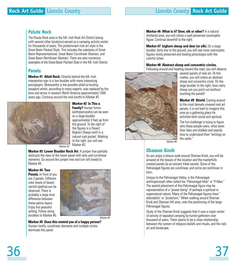# **Paiute Rock**

The Paiute Rock area in the Mt. Irish Rock Art District (along with several other locations) served as a camping activity center for thousands of years. The predominant rock art style is the Great Basin Pecked Style. This includes the substyles of Great Basin Representational, Great Basin Curvilinear Abstract, and Great Basin Rectilinear Abstract. There are also numerous examples of the Great Basin Painted Style in the Mt. Irish District.

# **Panels**

**Marker #1 Atlatl Rock.** Directly behind the Mt. Irish interpretive sign is a low boulder with many interesting petroglyphs. Noteworthy is the possible atlatl (a hunting weapon) which, according to many experts, was replaced by the bow and arrow in western North America approximately 1500 years ago. Continue around the rock (north) to Marker #2.



**Marker #2 Is This a Family?** Human forms (anthrpomorphs) can be seen on a large boulder approximately 3 feet up from the ground. To the right of the figures is a Desert Bighorn Sheep motif in a natural rock pocket. Walking to the right, you will see Marker #3.

Marker #2

**Marker #3 Lower Boulder Rock Art.** A juniper tree partially obstructs the view of the lower panel with dots and curvilinear elements. Go around the juniper tree and turn left (west) to Marker #4.

## **Marker #4 Two**

**Panels.** In front of you are 2 panels. Different color levels of desert varnish (patina) can be observed. There is probably a large time difference between these patina layers. Enjoy this peaceful setting. Follow along boulders to Marker #5.



Marker #4

**Marker #5 Does this remind you of a happy person?** Human motifs, curvilinear elements and multiple circles dominate this panel.

**Marker #6 What is it? Deer, elk or other?** In a natural sheltered area, you will notice a well preserved zoomorphic figure. Continue downhill to the right.

**Marker #7 bighorn sheep and deer (or elk).** On a large boulder, fairly low to the ground, you will see more zoomorphic figures nicely preserved and looking picturesque with the colorful lichen.

## **Marker #8 Abstract sheep and concentric circles.**

Following around and heading toward the road, you will observe



several panels of rock art. At this marker, you will notice an abstract sheep and concentric circle. On the large boulder to the right, how many sheep can you point out (without touching the panel)?

**Marker #9 Shield.** Coming around to the most densely covered rock art panels, it is not hard to imagine this area as a gathering place for activities both social and spiritual.

The fun challenge is trying to figure who these people were, what were their likes and dislikes and exactly how to understand their "writings on the walls."

Marker #9

# **Shaman Knob**

As you enjoy a leisure walk around Shaman Knob, you will be amazed at the beauty of the location and the masterfully created panels by an ancient tribal society. Some of the Pahranagat figures are curvilinear, and some are rectilinear in form.

Unique to the Pahranagat Valley, is the Pahranagat anthropomorph often called the "Pahranagat Man" or "P-Man." The spatial placement of this Pahranagat figure may be representative of a "power being" of perhaps a spiritual or supernatural nature. Many of the Pahranagat figures have " attendants" or "protectors." When walking around Shaman Knob and Shaman Hill area, note the positioning of the large Pahranagat figures.

Study of the Shaman Knob suggests that it was a major center of activity of repeated camping by hunter-gatherers over thousand of years. There seems to be a close relationship between the system of religious beliefs and rituals, and the rock art and landscape.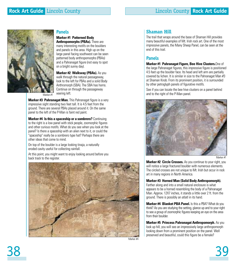

# **Panels**

**Marker #1 Patterned Body**

**Anthropomorphs (PBAs).** There are many interesting motifs on the boulders and panels in this area. High up on the large panel facing southwest can be seen patterned body anthropomorphs (PBAs) and a Pahranagat figure (not easy to spot on a bright sunny day).

**Marker #2 Walkway (PBAs).** As you walk through the natural passageway, look to the left for PBAs and a solid Body Anthromorph (SBA). The SBA has horns. Continue on through the passageway veering left.

**Marker #3 Pahranagat Man.** This Pahranagat figure is a very impressive sight standing two feet tall. It is 4.5 feet from the ground. There are several PBAs placed around it. On the same panel to the left of the P-Man is faint red paint.

**Marker #4 Is this a spaceship or a sombrero?** Continuing to the right is a low panel with stick people, zoomorphic figures and other curious motifs. What do you see when you look at the panel? Is there a spaceship with an alien next to it, or could the "spaceship" really be a sombrero type hat? Perhaps there are other ideas that come to mind.

On top of the boulder is a large looking tinaja, a naturally eroded cavity useful for collecting rainfall.

At this point, you might want to enjoy looking around before you back track to the register.



# **Shaman Hill**

The trail that wraps around the base of Shaman Hill provides many beautiful examples of Mt. Irish rock art. One of the most impressive panels, the Many Sheep Panel, can be seen at the end of this trail.

# **Panels**

**Marker #1 Pahranagat Figure, Bee Hive Clusters.**One of the large Pahranagat figures, this impressive figure is positioned 4.5 feet up the boulder face. Its head and left arm are partially covered by lichen. It is similar in size to the Pahranagat Man #3 at Shaman Knob. From its prominent position, it is surrounded by other petroglyph panels of figurative motifs.

See if you can locate the bee hive clusters on a panel behind and to the right of the P-Man panel.



Marker #1

**Marker #2 Circle Crosses.** As you continue to your right, you will notice a large fractured boulder with numerous elements. The circled crosses are not unique to Mt. Irish but occur in rock art in many regions in North America.

## **Marker #3 Horned Man (Solid Body Anthropomorph).**

Farther along and into a small natural enclosure is what appears to be a horned resembling the body of a Pahranagat Man. Approx. 12X7 inches, it stands a little over 2 ft. from the ground. There is possibly an atlatl in its hand.

**Marker #4 Blanket PBA Panel.** Is this a PBA? What do you think? As you are studying the setting, glance up and to your right to see a group of zoomorphic figures keeping an eye on the area from their boulder.

**Marker #5 Princess Pahranagat Anthropomorph.** As you look up hill, you will see an impressively large anthropomorph looking down from a prominent position on the panel. Well preserved and beautiful, could this figure be a female?

Marker #4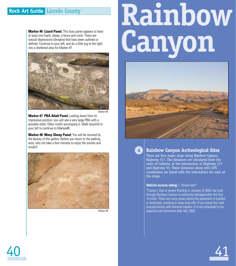# **Rock Art Guide** Lincoln County

**Marker #6 Lizard Panel.** This busy panel appears to have at least one lizard, sheep, a fence and circle. There are natural depressions (dimples) that have been outlined or defined. Continue to your left, and do a little jog to the right into a sheltered area for Marker #7.



Marker #6

**Marker #7 PBA Atlatl Panel.** Looking down from its impressive position, you will see a very large PBA with a possible atlatl. Other motifs accompany it. Walk downhill to your left to continue to Marker#8.

**Marker #8 Many Sheep Panel.** You will be stunned by the beauty of this gallery. Before you return to the parking area, why not take a few minutes to enjoy the sounds and smells?



Marker #8

# **Rainbow Canyon**





# **Rainbow Canyon Archeological Sites**

There are four major stops along Rainbow Canyon, Highway 317. The distances are calculated from the town of Caliente, at the intersection of Highway 317 and Highway 93. These distances along with GPS coordinates are listed with the information for each of the stops.

## **Vehicle access rating:** 1. Paved road\*

\*Caution: Due to severe flooding in January of 2005, the road through Rainbow Canyon is extremely damaged after the first 10 miles. There are many areas where the pavement is buckled or destroyed, resulting in deep drop-offs. If you travel this road, proceed slowly with extreme caution. It is not scheduled to be repaired until sometime after fall, 2008.

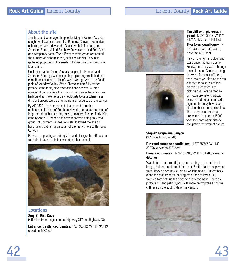# **About the site**

Ten thousand years ago, the people living in Eastern Nevada sought well-watered oases like Rainbow Canyon. Distinctive cultures, known today as the Desert Archaic Fremont, and Southern Paiute, visited Rainbow Canyon and used Etna Cave as a temporary home. Their lifestyles were organized around the hunting of bighorn sheep, deer and rabbits. They also gathered pinyon nuts, the seeds of Indian Rice Grass and other local plants.

Unlike the earlier Desert Archaic people, the Fremont and Southern Paiute grew crops, perhaps planting small fields of corn. Beans, squash and sunflowers were grown in the flood plain of Meadow Valley Wash. They also carefully crafted pottery, stone tools, hide moccasins and baskets. A large number of perishable artifacts, including sandal fragments and herb bundles, have helped archeologists to date when these different groups were using the natural resources of the canyon.

By AD 1300, the Fremont had disappeared from the archeological record of Southern Nevada, perhaps as a result of long-term droughts or other, as yet, unknown factors. Early 19th century Anglo-European explorers reported finding only small groups of Southern Paiutes, who still followed the age old hunting and gathering practices of the first visitors to Rainbow Canyon.

Rock art, appearing as petroglyphs and pictographs, offers clues to the beliefs and artistic concepts of these people.



# **Locations**

## **Stop #1 Etna Cave** (4.9 miles from the junction of Highway 317 and Highway 93)

**Entrance (trestle) coordinates:** N 37˚ 33.412, W 114˚ 34.413, elevation 4372 feet





## **Tan cliff with pictograph**

**panel:** N 37˚ 33.312, W 114˚ 34.414, elevation 4141 feet

**Etna Cave coordinates:** N 37˚ 33.413, W 114˚ 34.413, elevation 4376 feet

Park on the right shoulder and walk under the train trestle. Follow the sandy wash through a small tunnel. Continue along the wash for about 400 feet, then look to your left on the tan cliff face for a series of redorange pictographs. The pictographs were painted by unknown prehistoric artists, using hematitie, an iron oxide pigment that may have been obtained from the nearby cliffs. The hundreds of artifacts excavated document a 5,000 year sequence of prehistoric occupation by different groups.

**Stop #2 Grapevine Canyon** (9.7 miles from Stop #1)

**Dirt road entrance coordinates:** N 37˚ 25.747, W 114˚ 33.746, elevation 3653 feet

**Panel coordinates:** N 37˚ 33.406, W 114˚ 34.208, elevation 4208 feet

Watch for a left turn-off, just after passing under a railroad bridge. Follow the dirt road for about .6 mile. Park at a grove of trees. Rock art can be viewed by walking about 100 feet back along the road from the parking area, then follow a well traveled foot path up the slope to a rock overhang. There are pictographs and petroglyphs, with more petroglyphs along the cliff face on the south side of the canyon.

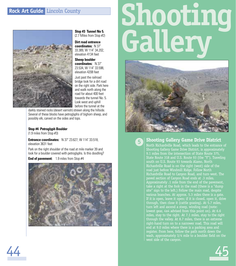# **Rock Art Guide** Lincoln County



**Stop #3 Tunnel No 5.**  (2.7 Miles from Stop #2)

**Dirt road entrance coordinates:** N 37˚ 33.389, W 114˚ 34.202, elevation 4134 feet

**Sheep boulder coordinates:** N 37˚ 23.534, W 114˚ 33.598, elevation 4208 feet

Just past the railroad bridge look for a dirt road on the right side. Park here and walk north along the road for about 400 feet towards the tunnel No. 5. Look west and uphill before the tunnel at the

darkly stained rocks (desert varnish) strewn along the hillside. Several of these blocks have petroglyphs of bighorn sheep, and possibly elk, carved on the sides and tops.

## **Stop #4 Petroglyph Boulder**

(1.9 miles from Stop #3)

44

**Entrance coordinates:** N 37˚ 23.627, W 114˚ 33.518, elevation 3631 feet

Park on the right shoulder of the road at mile marker 39 and look for a boulder covered with petroglyphs. Is this doodling? **End of pavement:** 1.9 miles from Stop #4



# **Shooting Gallery**



# **Shooting Gallery Game Drive District**

**5**

North Richardville Road, which leads to the entrance of Shooting Gallery Game Drive District, is approximately 9.1 miles from the intersection of State Route 375, Richardville Road is on the right (west) side of the road just before Windmill Ridge. Follow North Richardville Road to Canyon Road, and turn west. The paved section of Canyon Road ends at .3 miles. Approximately .1 mile from the end of the pavement, take a right at the fork in the road (there is a "dump site" sign to the left.) Follow the main road, despite various branches. At approx. 5.3 miles there is a gate. If it is open, leave it open; if it is closed, open it, drive through, then close it (cattle grazing). At 5.7 miles, turn left and ascend a steep, winding road (note: lowest gear, 4x4 advised from this point on). At 6.6 miles, stay to the right. At 7.1 miles, stay to the right through the valley. At 8.7 miles, there is an extreme right-hand turn on to a narrower road. This road will end at 9.0 miles where there is a parking area and register. From here, follow the path north down the wash, approximately 3/4 mile to a boulder field on the west side of the canyon.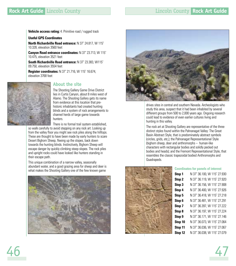**Vehicle access rating:** 4. Primitive road / rugged track

## **Useful GPS Coordinates**

**North Richardville Road entrance:** N 37˚ 24.817, W 115˚ 10.328, elevation 3560 feet

**Canyon Road entrance coordinates:** N 37˚ 23.713, W 115˚ 10.475, elevation 3521 feet

**South Richardville Road entrance:** N 37˚ 23.383, W115˚ 09.750, elevation 3554 feet

**Register coordinates:** N 37˚ 21.716, W 115˚ 16.674, elevation 3768 feet



# **About the site**

The Shooting Gallery Game Drive District lies in Curtis Canyon, about 8 miles west of Alamo. The Shooting Gallery gets its name from evidence at this location that prehistoric inhabitants had created hunting blinds and a system of rock arrangements to channel herds of large game towards hunters.

There is no formal trail system established,

so walk carefully to avoid stepping on any rock art. Looking up from the valley floor you might see rock piles along the hilltops. These are thought to have been made by early hunters to scare Desert Bighorn Sheep, fleeing up the slopes, back down towards the hunting blinds. Instinctively, Bighorn Sheep will escape danger by quickly climbing steep slopes. The rock piles and upright rocks could have looked like hunters standing in their escape path.

This unique combination of a narrow valley, seasonally abundant water, and a good grazing area for sheep and deer is what makes the Shooting Gallery one of the few known game





drives sites in central and southern Nevada. Archeologists who study this area, suspect that it had been inhabited by several different groups from 500 to 2,000 years ago. Ongoing research could lead to evidence of even earlier cultures living and hunting in this valley.

The rock art at Shooting Gallery are representative of the three distinct styles found within the Pahranagat Valley: The Great Basin Abstract Style, that is predominately abstract symbols (circles, grids, etc,); the Pahranagat Representational Style (bighorn sheep, deer and anthromorphs – human-like characters with rectangular bodies and solidly pecked out bodies and heads); and the Fremont Representational Style, that resembles the classic trapezoidal bodied Anthromorphs and Quadrapeds.



#### **Coordinates for panels of interest**

| Stop 1            | N 37° 36.100, W 115° 27.930 |
|-------------------|-----------------------------|
| Stop <sub>2</sub> | N 37° 36.119, W 115° 27.920 |
| Stop 3            | N 37° 36.156, W 115° 27.908 |
| Stop 4            | N 37° 36.400, W 115° 27.926 |
| Stop 5            | N 37° 36.418, W 115° 27.218 |
| Stop 6            | N 37° 36.481, W 115° 27.291 |
| Stop 7            | N 37° 36.397, W 115° 27.222 |
| Stop 8            | N 37° 36.197, W 115° 27.224 |
| Stop 9            | N 37° 36.171, W 115° 27.146 |
| Stop 10           | N 37° 36.073, W 115° 27.064 |
| Stop 11           | N 37° 36.036, W 115° 27.067 |
| Stop 12           | N 37° 36.038, W 115° 27.079 |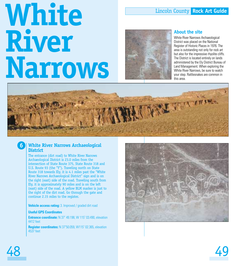# Lincoln County **Rock Art Guide**

# **White River Narrows**



# **About the site**

White River Narrows Archaeological District was placed on the National Register of Historic Places in 1976. The area is outstanding not only for rock art but also for the impressive rhyolite cliffs. The District is located entirely on lands administered by the Ely District Bureau of Land Management. When exploring the White River Narrows, be sure to watch your step. Rattlesnakes are common in this area.



# **White River Narrows Archaeological District**

The entrance (dirt road) to White River Narrows Archaeological District is 23.0 miles from the intersection of State Route 375, State Route 318 and U.S. Route 93 (the "Y"). Traveling north on State Route 318 towards Ely, it is 4.1 miles past the "White River Narrows Archaeological District" sign and is on the right (east) side of the road. Traveling south from Ely, it is approximately 90 miles and is on the left (east) side of the road. A yellow BLM marker is just to the right of the dirt road. Go through the gate and continue 2.15 miles to the register.

**Vehicle access rating:** 3. Improved / graded dirt road

## **Useful GPS Coordinates**

**Entrance coordinate:** N 37˚ 49.198, W 115˚ 03.490, elevation 4412 feet

**Register coordinates:** N 37˚50.059, W115˚ 02.365, elevation 4537 feet



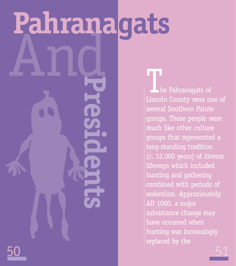# And<br>**And<br>And<br>Bresidents Pahranagats**

50

he Pahranagats of Lincoln County were one of several Southern Paiute groups. These people were much like other culture groups that represented a long-standing tradition (c. 12,000 years) of diverse lifeways which included hunting and gathering combined with periods of sedentism. Approximately AD 1000, a major subsistance change may have occurred when hunting was increasingly replaced by the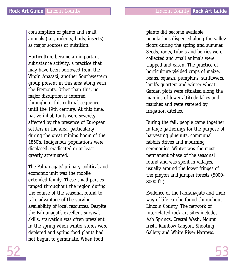consumption of plants and small animals (i.e., rodents, birds, insects) as major sources of nutrition.

Horticulture became an important subsistance activity, a practice that may have been borrowed from the Virgin Anasazi, another Southwestern group present in this area along with the Fremonts. Other than this, no major disruption is inferred throughout this cultural sequence until the 19th century. At this time, native inhabitants were severely affected by the presence of European settlers in the area, particularly during the great mining boom of the 1860's. Indigenous populations were displaced, eradicated or at least greatly attenuated.

The Pahranagats' primary political and economic unit was the mobile extended family. These small parties ranged throughout the region during the course of the seasonal round to take advantage of the varying availability of local resources. Despite the Pahranagat's excellent survival skills, starvation was often prevalent in the spring when winter stores were depleted and spring food plants had not begun to germinate. When food

plants did become available, populations dispersed along the valley floors during the spring and summer. Seeds, roots, tubers and berries were collected and small animals were trapped and eaten. The practice of horticulture yielded crops of maize, beans, squash, pumpkins, sunflowers, lamb's quarters and winter wheat. Garden plots were situated along the margins of lower altitude lakes and marshes and were watered by irrigation ditches.

During the fall, people came together in large gatherings for the purpose of harvesting pinenuts, communal rabbits drives and mourning ceremonies. Winter was the most permanent phase of the seasonal round and was spent in villages, usually around the lower fringes of the pinyon and juniper forests (5000- 8000 ft.)

Evidence of the Pahranagats and their way of life can be found throughout Lincoln County. The network of interrelated rock art sites includes Ash Springs, Crystal Wash, Mount Irish, Rainbow Canyon, Shooting Gallery and White River Narrows.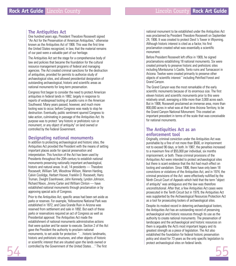# **The Antiquities Act**

One hundred years ago, President Theodore Roosevelt signed "An Act for the Preservation of American Antiquities," otherwise known as the Antiquities Act of 1906. This was the first time the United States recognized, in law, that the material remains of our past were a valuable part of our heritage.

The Antiquities Act set the stage for a comprehensive body of law and policies that became the foundation for the cultural resource management programs of federal and managing agencies. The Act created criminal sanctions for the destruction of antiquities, provided for permits to authorize study of archaeological sites, and allowed presidential designation of outstanding archaeological, historic and scientific areas as national monuments for long-term preservation.

Congress first began to consider the need to protect American antiquities in federal lands in 1882, largely in response to reports of widespread looting of pueblo ruins in the American Southwest. Many years passed, however, and much more looting was to occur, before Congress was ready to stop he destruction. Eventually, public sentiment spurred Congress to take action, culminating in passage of the Antiquities Act. Its purpose was to protect "any historic or prehistoric ruin or monument, or any object of antiquity" on land owned or controlled by the Federal Government.

# **Designating national monuments**

In addition to protecting archaeological and historic sites, the Antiquities Act provided the President with the means of setting important places aside for special preservation and interpretation. This function of the Act has been used by Presidents throughout the 20th century to establish national monuments preserving nationally important archaeological, historic and natural areas. In all, 14 presidents - Theodore Roosevelt, William Taft, Woodrow Wilson, Warren Harding, Calvin Coolidge, Herbert Hoover, Franklin D. Roosevelt, Harry Truman, Dwight Eisenhower, John Kennedy, Lyndon Johnson, Richard Nixon, Jimmy Carter and William Clinton — have established national monuments through proclamation or by approving special acts of Congress.

Prior to the Antiquities Act, specific areas had been set aside as parks or reserves. For example, Yellowstone National Park was established in 1872, and Casa Grande Ruin in Arizona was reserved from settlement and sale in 1892. But each of these parks or reservations required an act of Congress as well as Presidential approval. The Antiquities Act made the establishment of national monuments administrative actions that were quicker and far easier to execute. Section 2 of the Act gave the President the authority to proclaim national monuments, to set aside for protection "…historic landmarks, historic and prehistoric structures, and other objects of historic or scientific interest that are situated upon the lands owned or controlled by the Government of the United States…" The first

national monument to be established under the Antiquities Act was proclaimed by President Theodore Roosevelt on September 24, 1906. It was created to protect Devil 's Tower in Wyoming. Although historic interest is cited as a factor, his first proclamation created what was essentially a scientific monument.

Before President Roosevelt left office in 1909, he signed proclamations establishing 18 national monuments. Six were created primarily to preserve historic and prehistoric sites including Montezuma 's Castle, Tonto ruins and Tumacacori in Arizona. Twelve were created primarily to preserve other objects of scientific interest " including Petrified Forest and Grand Canyon.

The Grand Canyon was the most remarkable of the early scientific monuments because of its enormous size. The first eleven historic and scientific monuments prior to this were relatively small, averaging a little more than 3,000 acres each. But in 1908, Roosevelt proclaimed an immense area, more than 800,000 acres in what was at that time Arizona Territory, to be the Grand Canyon National Monument. This created an important precedent in terms of the scale that was conceivable for national monuments.

# **The Antiquities Act as an enforcement tool**

Originally, criminal conviction under the Antiquities Act was punishable by a fine of not more than \$500, or imprisonment not to exceed 90 days, or both. In 1987, the penalties increased to a maximum fine of \$55,000 per individual, six months imprisonment, or both. These criminal provisions of the Antiquities Act were intended to protect archaeological sites but there is scant evidence that the Act had much effect on looting and vandalism. Since 1906, there have only been 18 convictions or violations of the Antiquities Act, and in 1974, the criminal provisions of the Act were effectively nullified by the Ninth Circuit Court of Appeals which held that the term "object of antiquity" was ambiguous and the law was therefore unconstitutional. After that, a few Antiquities Act cases were prosecuted in the Tenth Circuit but in 1979, the Antiquities Act was supplanted by the Archaeological Resources Protection Act as a tool for prosecuting looters of archaeological sites.

Despite its modest record in deterring archaeological looters, the Antiquities Act has an outstanding record of preserving archaeological and historic resources through its use as the authority to create national monuments. The preservation of landscapes and the archaeological and historic resources on them is arguably the Act's most important legacy and its greatest strength as a piece of legislation. The Act also established the foundation for federal historic preservation policy and stood for 73 years as the only specific legislation to protect archaeological sites on federal lands.